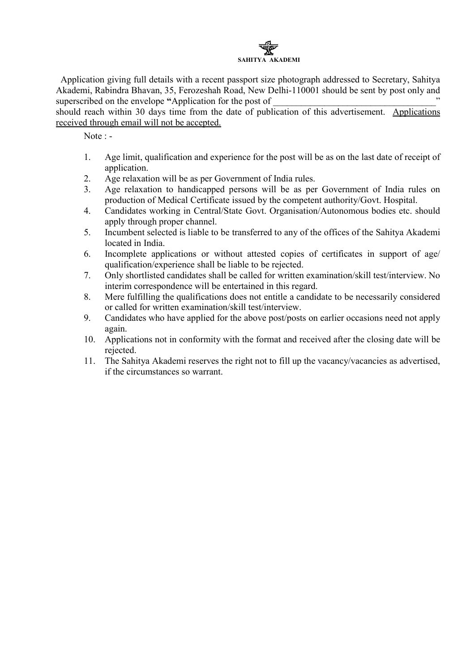

Application giving full details with a recent passport size photograph addressed to Secretary, Sahitya Akademi, Rabindra Bhavan, 35, Ferozeshah Road, New Delhi-110001 should be sent by post only and superscribed on the envelope "Application for the post of

should reach within 30 days time from the date of publication of this advertisement. Applications received through email will not be accepted.

Note : -

- 1. Age limit, qualification and experience for the post will be as on the last date of receipt of application.
- 2. Age relaxation will be as per Government of India rules.
- 3. Age relaxation to handicapped persons will be as per Government of India rules on production of Medical Certificate issued by the competent authority/Govt. Hospital.
- 4. Candidates working in Central/State Govt. Organisation/Autonomous bodies etc. should apply through proper channel.
- 5. Incumbent selected is liable to be transferred to any of the offices of the Sahitya Akademi located in India.
- 6. Incomplete applications or without attested copies of certificates in support of age/ qualification/experience shall be liable to be rejected.
- 7. Only shortlisted candidates shall be called for written examination/skill test/interview. No interim correspondence will be entertained in this regard.
- 8. Mere fulfilling the qualifications does not entitle a candidate to be necessarily considered or called for written examination/skill test/interview.
- 9. Candidates who have applied for the above post/posts on earlier occasions need not apply again.
- 10. Applications not in conformity with the format and received after the closing date will be rejected.
- 11. The Sahitya Akademi reserves the right not to fill up the vacancy/vacancies as advertised, if the circumstances so warrant.